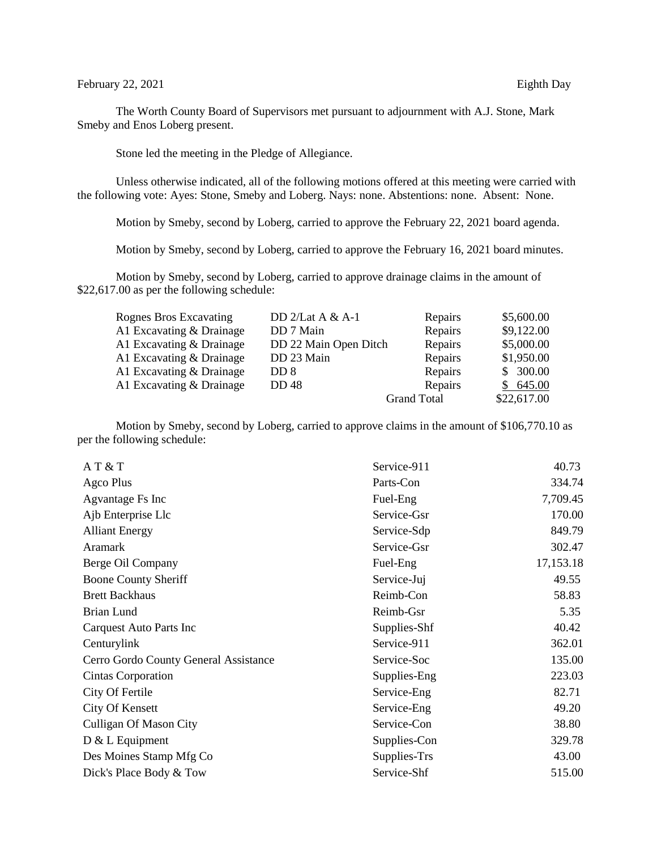## February 22, 2021 Eighth Day

The Worth County Board of Supervisors met pursuant to adjournment with A.J. Stone, Mark Smeby and Enos Loberg present.

Stone led the meeting in the Pledge of Allegiance.

Unless otherwise indicated, all of the following motions offered at this meeting were carried with the following vote: Ayes: Stone, Smeby and Loberg. Nays: none. Abstentions: none. Absent: None.

Motion by Smeby, second by Loberg, carried to approve the February 22, 2021 board agenda.

Motion by Smeby, second by Loberg, carried to approve the February 16, 2021 board minutes.

Motion by Smeby, second by Loberg, carried to approve drainage claims in the amount of \$22,617.00 as per the following schedule:

| Rognes Bros Excavating   | DD $2/Lat A & A-1$    | Repairs            | \$5,600.00  |
|--------------------------|-----------------------|--------------------|-------------|
| A1 Excavating & Drainage | DD 7 Main             | Repairs            | \$9,122.00  |
| A1 Excavating & Drainage | DD 22 Main Open Ditch | Repairs            | \$5,000.00  |
| A1 Excavating & Drainage | DD 23 Main            | Repairs            | \$1,950.00  |
| A1 Excavating & Drainage | DD 8                  | Repairs            | \$300.00    |
| A1 Excavating & Drainage | <b>DD</b> 48          | Repairs            | \$645.00    |
|                          |                       | <b>Grand Total</b> | \$22,617.00 |

Motion by Smeby, second by Loberg, carried to approve claims in the amount of \$106,770.10 as per the following schedule:

| AT & T                                | Service-911  | 40.73     |
|---------------------------------------|--------------|-----------|
| Agco Plus                             | Parts-Con    | 334.74    |
| Agvantage Fs Inc                      | Fuel-Eng     | 7,709.45  |
| Ajb Enterprise Llc                    | Service-Gsr  | 170.00    |
| <b>Alliant Energy</b>                 | Service-Sdp  | 849.79    |
| <b>Aramark</b>                        | Service-Gsr  | 302.47    |
| Berge Oil Company                     | Fuel-Eng     | 17,153.18 |
| <b>Boone County Sheriff</b>           | Service-Juj  | 49.55     |
| <b>Brett Backhaus</b>                 | Reimb-Con    | 58.83     |
| <b>Brian Lund</b>                     | Reimb-Gsr    | 5.35      |
| Carquest Auto Parts Inc               | Supplies-Shf | 40.42     |
| Centurylink                           | Service-911  | 362.01    |
| Cerro Gordo County General Assistance | Service-Soc  | 135.00    |
| Cintas Corporation                    | Supplies-Eng | 223.03    |
| City Of Fertile                       | Service-Eng  | 82.71     |
| <b>City Of Kensett</b>                | Service-Eng  | 49.20     |
| <b>Culligan Of Mason City</b>         | Service-Con  | 38.80     |
| $D & L$ Equipment                     | Supplies-Con | 329.78    |
| Des Moines Stamp Mfg Co               | Supplies-Trs | 43.00     |
| Dick's Place Body & Tow               | Service-Shf  | 515.00    |
|                                       |              |           |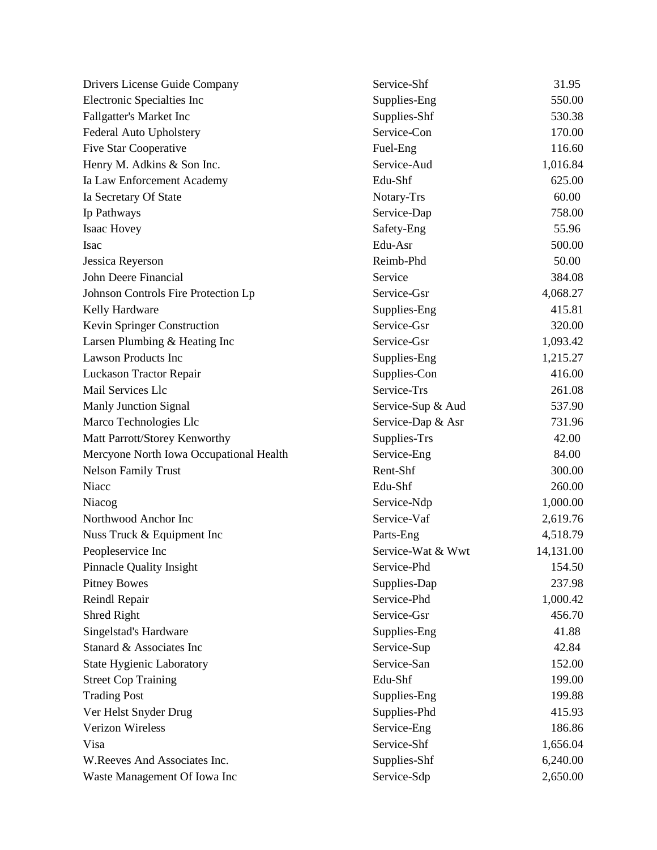| Drivers License Guide Company           | Service-Shf       | 31.95     |
|-----------------------------------------|-------------------|-----------|
| Electronic Specialties Inc              | Supplies-Eng      | 550.00    |
| Fallgatter's Market Inc                 | Supplies-Shf      | 530.38    |
| Federal Auto Upholstery                 | Service-Con       | 170.00    |
| <b>Five Star Cooperative</b>            | Fuel-Eng          | 116.60    |
| Henry M. Adkins & Son Inc.              | Service-Aud       | 1,016.84  |
| Ia Law Enforcement Academy              | Edu-Shf           | 625.00    |
| Ia Secretary Of State                   | Notary-Trs        | 60.00     |
| Ip Pathways                             | Service-Dap       | 758.00    |
| Isaac Hovey                             | Safety-Eng        | 55.96     |
| <b>Isac</b>                             | Edu-Asr           | 500.00    |
| Jessica Reyerson                        | Reimb-Phd         | 50.00     |
| John Deere Financial                    | Service           | 384.08    |
| Johnson Controls Fire Protection Lp     | Service-Gsr       | 4,068.27  |
| Kelly Hardware                          | Supplies-Eng      | 415.81    |
| Kevin Springer Construction             | Service-Gsr       | 320.00    |
| Larsen Plumbing & Heating Inc           | Service-Gsr       | 1,093.42  |
| <b>Lawson Products Inc</b>              | Supplies-Eng      | 1,215.27  |
| Luckason Tractor Repair                 | Supplies-Con      | 416.00    |
| Mail Services Llc                       | Service-Trs       | 261.08    |
| <b>Manly Junction Signal</b>            | Service-Sup & Aud | 537.90    |
| Marco Technologies Llc                  | Service-Dap & Asr | 731.96    |
| Matt Parrott/Storey Kenworthy           | Supplies-Trs      | 42.00     |
| Mercyone North Iowa Occupational Health | Service-Eng       | 84.00     |
| <b>Nelson Family Trust</b>              | Rent-Shf          | 300.00    |
| Niacc                                   | Edu-Shf           | 260.00    |
| Niacog                                  | Service-Ndp       | 1,000.00  |
| Northwood Anchor Inc                    | Service-Vaf       | 2,619.76  |
| Nuss Truck & Equipment Inc              | Parts-Eng         | 4,518.79  |
| Peopleservice Inc                       | Service-Wat & Wwt | 14,131.00 |
| <b>Pinnacle Quality Insight</b>         | Service-Phd       | 154.50    |
| <b>Pitney Bowes</b>                     | Supplies-Dap      | 237.98    |
| Reindl Repair                           | Service-Phd       | 1,000.42  |
| Shred Right                             | Service-Gsr       | 456.70    |
| Singelstad's Hardware                   | Supplies-Eng      | 41.88     |
| Stanard & Associates Inc                | Service-Sup       | 42.84     |
| <b>State Hygienic Laboratory</b>        | Service-San       | 152.00    |
| <b>Street Cop Training</b>              | Edu-Shf           | 199.00    |
| <b>Trading Post</b>                     | Supplies-Eng      | 199.88    |
| Ver Helst Snyder Drug                   | Supplies-Phd      | 415.93    |
| Verizon Wireless                        | Service-Eng       | 186.86    |
| Visa                                    | Service-Shf       | 1,656.04  |
| W.Reeves And Associates Inc.            | Supplies-Shf      | 6,240.00  |
| Waste Management Of Iowa Inc            | Service-Sdp       | 2,650.00  |
|                                         |                   |           |